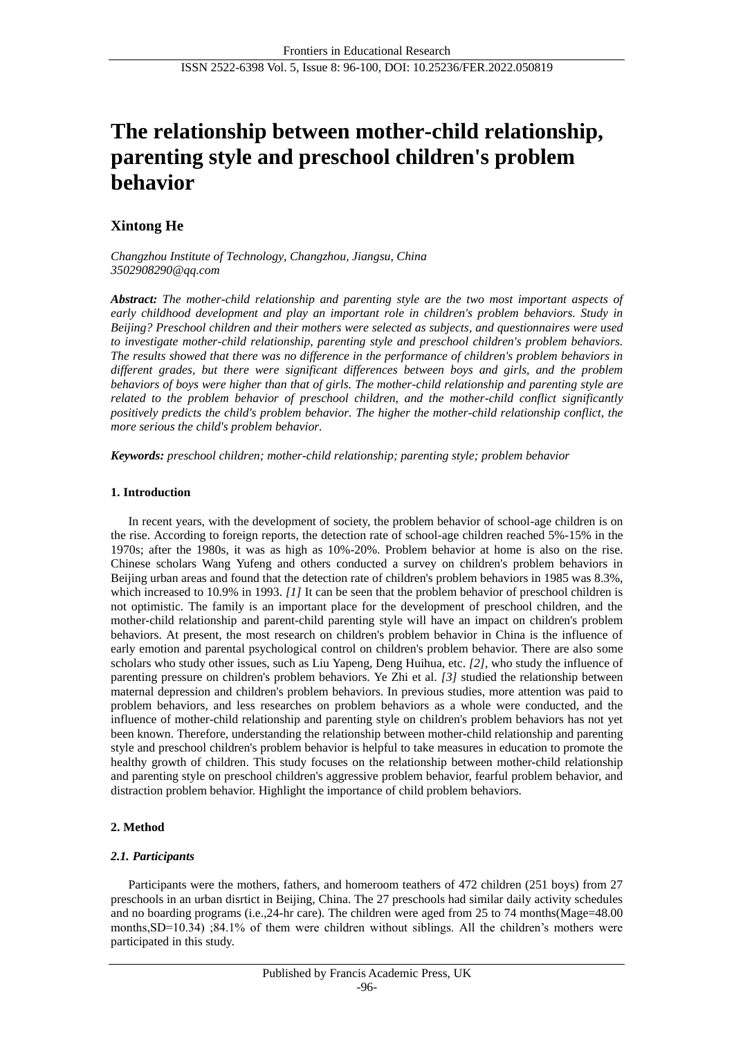# **The relationship between mother-child relationship, parenting style and preschool children's problem behavior**

# **Xintong He**

*Changzhou Institute of Technology, Changzhou, Jiangsu, China 3502908290@qq.com*

*Abstract: The mother-child relationship and parenting style are the two most important aspects of early childhood development and play an important role in children's problem behaviors. Study in Beijing? Preschool children and their mothers were selected as subjects, and questionnaires were used to investigate mother-child relationship, parenting style and preschool children's problem behaviors. The results showed that there was no difference in the performance of children's problem behaviors in different grades, but there were significant differences between boys and girls, and the problem behaviors of boys were higher than that of girls. The mother-child relationship and parenting style are related to the problem behavior of preschool children, and the mother-child conflict significantly positively predicts the child's problem behavior. The higher the mother-child relationship conflict, the more serious the child's problem behavior.*

*Keywords: preschool children; mother-child relationship; parenting style; problem behavior*

# **1. Introduction**

In recent years, with the development of society, the problem behavior of school-age children is on the rise. According to foreign reports, the detection rate of school-age children reached 5%-15% in the 1970s; after the 1980s, it was as high as 10%-20%. Problem behavior at home is also on the rise. Chinese scholars Wang Yufeng and others conducted a survey on children's problem behaviors in Beijing urban areas and found that the detection rate of children's problem behaviors in 1985 was 8.3%, which increased to 10.9% in 1993. *[1]* It can be seen that the problem behavior of preschool children is not optimistic. The family is an important place for the development of preschool children, and the mother-child relationship and parent-child parenting style will have an impact on children's problem behaviors. At present, the most research on children's problem behavior in China is the influence of early emotion and parental psychological control on children's problem behavior. There are also some scholars who study other issues, such as Liu Yapeng, Deng Huihua, etc. *[2]*, who study the influence of parenting pressure on children's problem behaviors. Ye Zhi et al. *[3]* studied the relationship between maternal depression and children's problem behaviors. In previous studies, more attention was paid to problem behaviors, and less researches on problem behaviors as a whole were conducted, and the influence of mother-child relationship and parenting style on children's problem behaviors has not yet been known. Therefore, understanding the relationship between mother-child relationship and parenting style and preschool children's problem behavior is helpful to take measures in education to promote the healthy growth of children. This study focuses on the relationship between mother-child relationship and parenting style on preschool children's aggressive problem behavior, fearful problem behavior, and distraction problem behavior. Highlight the importance of child problem behaviors.

# **2. Method**

#### *2.1. Participants*

Participants were the mothers, fathers, and homeroom teathers of 472 children (251 boys) from 27 preschools in an urban disrtict in Beijing, China. The 27 preschools had similar daily activity schedules and no boarding programs (i.e.,24-hr care). The children were aged from 25 to 74 months(Mage=48.00 months,SD=10.34) ;84.1% of them were children without siblings. All the children's mothers were participated in this study.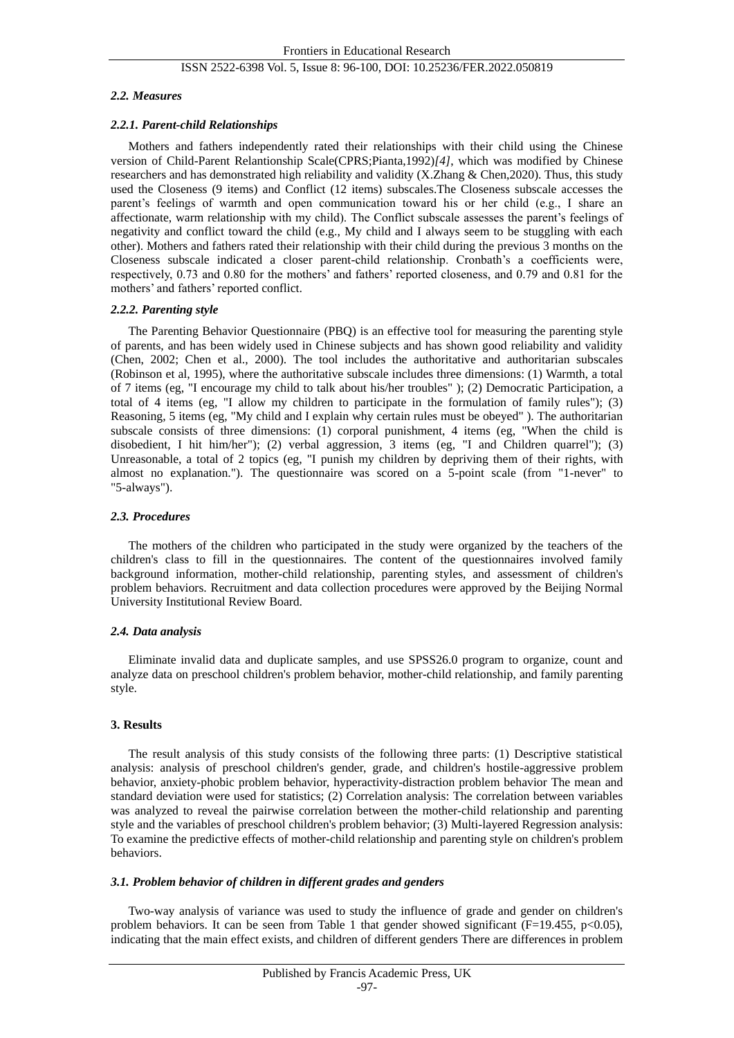# *2.2. Measures*

# *2.2.1. Parent-child Relationships*

Mothers and fathers independently rated their relationships with their child using the Chinese version of Child-Parent Relantionship Scale(CPRS;Pianta,1992)*[4]*, which was modified by Chinese researchers and has demonstrated high reliability and validity (X.Zhang & Chen,2020). Thus, this study used the Closeness (9 items) and Conflict (12 items) subscales.The Closeness subscale accesses the parent's feelings of warmth and open communication toward his or her child (e.g., I share an affectionate, warm relationship with my child). The Conflict subscale assesses the parent's feelings of negativity and conflict toward the child (e.g., My child and I always seem to be stuggling with each other). Mothers and fathers rated their relationship with their child during the previous 3 months on the Closeness subscale indicated a closer parent-child relationship. Cronbath's a coefficients were, respectively, 0.73 and 0.80 for the mothers' and fathers' reported closeness, and 0.79 and 0.81 for the mothers' and fathers' reported conflict.

# *2.2.2. Parenting style*

The Parenting Behavior Questionnaire (PBQ) is an effective tool for measuring the parenting style of parents, and has been widely used in Chinese subjects and has shown good reliability and validity (Chen, 2002; Chen et al., 2000). The tool includes the authoritative and authoritarian subscales (Robinson et al, 1995), where the authoritative subscale includes three dimensions: (1) Warmth, a total of 7 items (eg, "I encourage my child to talk about his/her troubles" ); (2) Democratic Participation, a total of 4 items (eg, "I allow my children to participate in the formulation of family rules"); (3) Reasoning, 5 items (eg, "My child and I explain why certain rules must be obeyed" ). The authoritarian subscale consists of three dimensions: (1) corporal punishment, 4 items (eg, "When the child is disobedient, I hit him/her"); (2) verbal aggression, 3 items (eg, "I and Children quarrel"); (3) Unreasonable, a total of 2 topics (eg, "I punish my children by depriving them of their rights, with almost no explanation."). The questionnaire was scored on a 5-point scale (from "1-never" to "5-always").

# *2.3. Procedures*

The mothers of the children who participated in the study were organized by the teachers of the children's class to fill in the questionnaires. The content of the questionnaires involved family background information, mother-child relationship, parenting styles, and assessment of children's problem behaviors. Recruitment and data collection procedures were approved by the Beijing Normal University Institutional Review Board.

# *2.4. Data analysis*

Eliminate invalid data and duplicate samples, and use SPSS26.0 program to organize, count and analyze data on preschool children's problem behavior, mother-child relationship, and family parenting style.

# **3. Results**

The result analysis of this study consists of the following three parts: (1) Descriptive statistical analysis: analysis of preschool children's gender, grade, and children's hostile-aggressive problem behavior, anxiety-phobic problem behavior, hyperactivity-distraction problem behavior The mean and standard deviation were used for statistics; (2) Correlation analysis: The correlation between variables was analyzed to reveal the pairwise correlation between the mother-child relationship and parenting style and the variables of preschool children's problem behavior; (3) Multi-layered Regression analysis: To examine the predictive effects of mother-child relationship and parenting style on children's problem behaviors.

#### *3.1. Problem behavior of children in different grades and genders*

Two-way analysis of variance was used to study the influence of grade and gender on children's problem behaviors. It can be seen from Table 1 that gender showed significant  $(F=19.455, p<0.05)$ , indicating that the main effect exists, and children of different genders There are differences in problem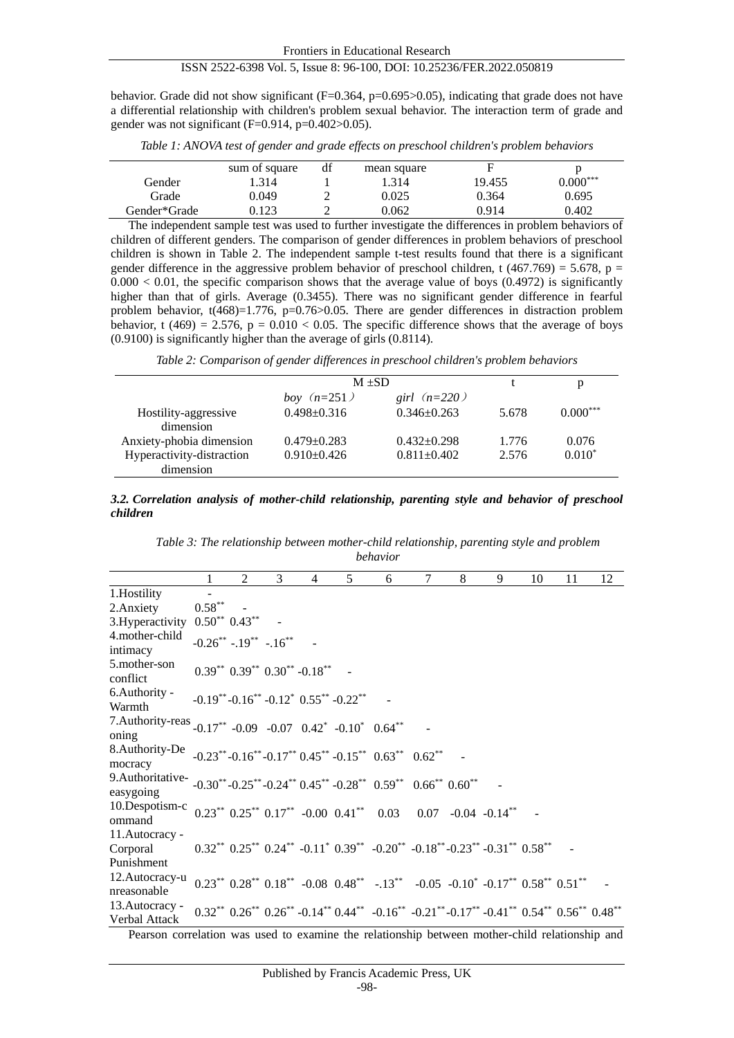behavior. Grade did not show significant  $(F=0.364, p=0.695>0.05)$ , indicating that grade does not have a differential relationship with children's problem sexual behavior. The interaction term of grade and gender was not significant  $(F=0.914, p=0.402>0.05)$ .

|              | sum of square | df | mean square | F      |            |
|--------------|---------------|----|-------------|--------|------------|
| Gender       | .314          |    | .314        | 19.455 | $0.000***$ |
| Grade        | 0.049         |    | 0.025       | 0.364  | 0.695      |
| Gender*Grade | ).123         |    | 0.062       | 0.914  | 0.402      |
|              |               |    |             |        |            |

*Table 1: ANOVA test of gender and grade effects on preschool children's problem behaviors*

The independent sample test was used to further investigate the differences in problem behaviors of children of different genders. The comparison of gender differences in problem behaviors of preschool children is shown in Table 2. The independent sample t-test results found that there is a significant gender difference in the aggressive problem behavior of preschool children, t (467.769) = 5.678, p =  $0.000 < 0.01$ , the specific comparison shows that the average value of boys  $(0.4972)$  is significantly higher than that of girls. Average (0.3455). There was no significant gender difference in fearful problem behavior, t(468)=1.776, p=0.76>0.05. There are gender differences in distraction problem behavior, t (469) = 2.576,  $p = 0.010 < 0.05$ . The specific difference shows that the average of boys (0.9100) is significantly higher than the average of girls (0.8114).

*Table 2: Comparison of gender differences in preschool children's problem behaviors*

|                      |                 | р          |            |
|----------------------|-----------------|------------|------------|
| <i>boy</i> $(n=251)$ | girl $(n=220)$  |            |            |
| $0.498 + 0.316$      | $0.346 + 0.263$ | 5.678      | $0.000***$ |
| $0.479 - 0.283$      | $0.432 + 0.298$ | 1.776      | 0.076      |
| $0.910 + 0.426$      | $0.811 + 0.402$ | 2.576      | $0.010*$   |
|                      |                 | $M \pm SD$ |            |

*3.2. Correlation analysis of mother-child relationship, parenting style and behavior of preschool children*

*Table 3: The relationship between mother-child relationship, parenting style and problem behavior*

|                                                                                                                                                                                    | 1         | $2^{\circ}$                                       | 3 | $\overline{4}$ | 5                                                               | 6                                                                                                                                                    | 7 | 8 | 9 | 10 | 11 | 12 |
|------------------------------------------------------------------------------------------------------------------------------------------------------------------------------------|-----------|---------------------------------------------------|---|----------------|-----------------------------------------------------------------|------------------------------------------------------------------------------------------------------------------------------------------------------|---|---|---|----|----|----|
| 1. Hostility                                                                                                                                                                       |           |                                                   |   |                |                                                                 |                                                                                                                                                      |   |   |   |    |    |    |
| 2. Anxiety                                                                                                                                                                         | $0.58***$ |                                                   |   |                |                                                                 |                                                                                                                                                      |   |   |   |    |    |    |
| 3. Hyperactivity $0.50^{**}$ 0.43 <sup>**</sup>                                                                                                                                    |           |                                                   |   |                |                                                                 |                                                                                                                                                      |   |   |   |    |    |    |
| 4. mother-child<br>intimacy                                                                                                                                                        |           | $-0.26^{**}$ $-.19^{**}$ $-.16^{**}$              |   |                |                                                                 |                                                                                                                                                      |   |   |   |    |    |    |
| 5. mother-son<br>conflict                                                                                                                                                          |           | $0.39^{**}$ $0.39^{**}$ $0.30^{**}$ - $0.18^{**}$ |   |                |                                                                 |                                                                                                                                                      |   |   |   |    |    |    |
| 6. Authority -<br>Warmth                                                                                                                                                           |           |                                                   |   |                | $-0.19^{**}$ - $0.16^{**}$ - $0.12^*$ $0.55^{**}$ - $0.22^{**}$ |                                                                                                                                                      |   |   |   |    |    |    |
| 7.Authority-reas -0.17** -0.09 -0.07 0.42* -0.10* 0.64**<br>oning                                                                                                                  |           |                                                   |   |                |                                                                 |                                                                                                                                                      |   |   |   |    |    |    |
| 8.Authority-De $-0.23^{**}$ -0.16 <sup>**</sup> -0.17 <sup>**</sup> 0.45 <sup>**</sup> -0.15 <sup>**</sup> 0.63 <sup>**</sup> 0.62 <sup>**</sup><br>mocracy                        |           |                                                   |   |                |                                                                 |                                                                                                                                                      |   |   |   |    |    |    |
| 9.Authoritative- $-0.30^{**}$ -0.25 <sup>**</sup> -0.24 <sup>**</sup> 0.45 <sup>**</sup> -0.28 <sup>**</sup> 0.59 <sup>**</sup> 0.66 <sup>**</sup> 0.60 <sup>**</sup><br>easygoing |           |                                                   |   |                |                                                                 |                                                                                                                                                      |   |   |   |    |    |    |
| 10.Despotism-c $0.23^{**}$ $0.25^{**}$ $0.17^{**}$ -0.00 $0.41^{**}$ 0.03 0.07 -0.04 -0.14**<br>ommand                                                                             |           |                                                   |   |                |                                                                 |                                                                                                                                                      |   |   |   |    |    |    |
| 11. Autocracy -<br>Corporal<br>Punishment                                                                                                                                          |           |                                                   |   |                |                                                                 | $0.32^{**}$ $0.25^{**}$ $0.24^{**}$ $-0.11^*$ $0.39^{**}$ $-0.20^{**}$ $-0.18^{**}$ $-0.23^{**}$ $-0.31^{**}$ $0.58^{**}$                            |   |   |   |    |    |    |
| 12. Autocracy-u<br>nreasonable                                                                                                                                                     |           |                                                   |   |                |                                                                 | $0.23^{**}$ $0.28^{**}$ $0.18^{**}$ $-0.08$ $0.48^{**}$ $-0.13^{**}$ $-0.05$ $-0.10^{*}$ $-0.17^{**}$ $0.58^{**}$ $0.51^{**}$                        |   |   |   |    |    |    |
| 13. Autocracy -<br>Verbal Attack                                                                                                                                                   |           |                                                   |   |                |                                                                 | $0.32^{**}$ $0.26^{**}$ $0.26^{**}$ $-0.14^{**}$ $0.44^{**}$ $-0.16^{**}$ $-0.21^{**}$ $-0.17^{**}$ $-0.41^{**}$ $0.54^{**}$ $0.56^{**}$ $0.48^{**}$ |   |   |   |    |    |    |

Pearson correlation was used to examine the relationship between mother-child relationship and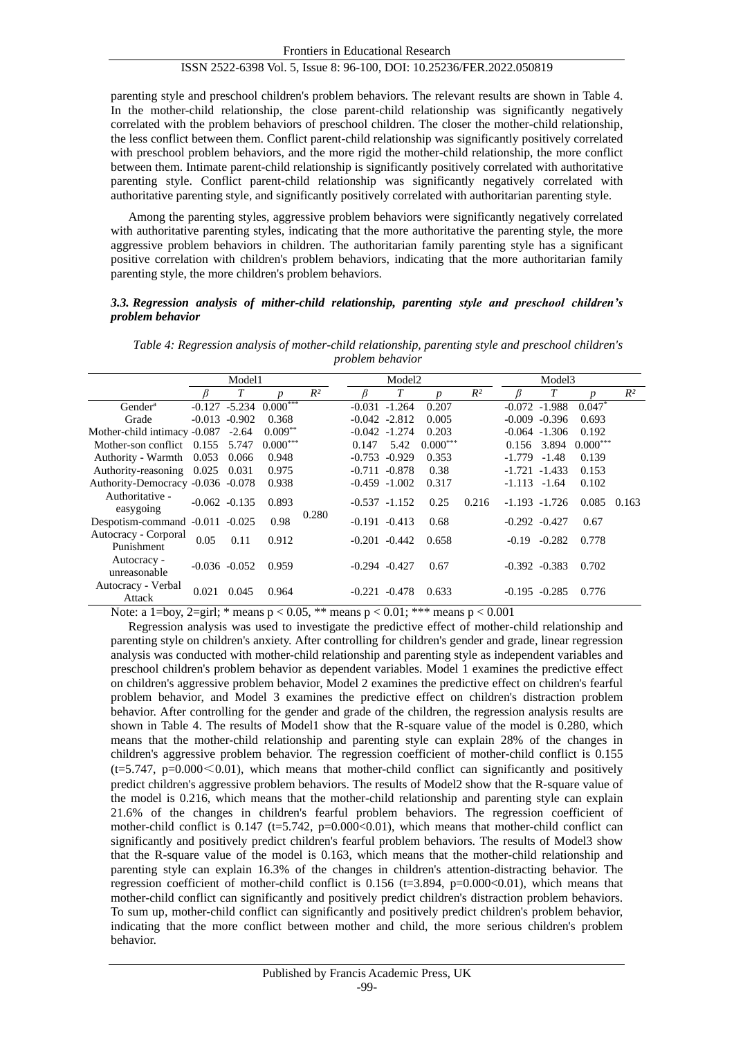parenting style and preschool children's problem behaviors. The relevant results are shown in Table 4. In the mother-child relationship, the close parent-child relationship was significantly negatively correlated with the problem behaviors of preschool children. The closer the mother-child relationship, the less conflict between them. Conflict parent-child relationship was significantly positively correlated with preschool problem behaviors, and the more rigid the mother-child relationship, the more conflict between them. Intimate parent-child relationship is significantly positively correlated with authoritative parenting style. Conflict parent-child relationship was significantly negatively correlated with authoritative parenting style, and significantly positively correlated with authoritarian parenting style.

Among the parenting styles, aggressive problem behaviors were significantly negatively correlated with authoritative parenting styles, indicating that the more authoritative the parenting style, the more aggressive problem behaviors in children. The authoritarian family parenting style has a significant positive correlation with children's problem behaviors, indicating that the more authoritarian family parenting style, the more children's problem behaviors.

#### *3.3. Regression analysis of mither-child relationship, parenting style and preschool children's problem behavior*

|                                    | Model1          |                  |                                        |       | Model <sub>2</sub> |                   |                  | Model <sub>3</sub> |                  |                  |                  |       |
|------------------------------------|-----------------|------------------|----------------------------------------|-------|--------------------|-------------------|------------------|--------------------|------------------|------------------|------------------|-------|
|                                    |                 | T                | $\boldsymbol{n}$                       | $R^2$ |                    | T                 | $\boldsymbol{p}$ | $R^2$              |                  | T                | $\boldsymbol{D}$ | $R^2$ |
| Gender <sup>a</sup>                |                 |                  | $-0.127 -5.234 \overline{0.000}^{***}$ |       |                    | $-0.031 - 1.264$  | 0.207            |                    |                  | $-0.072 - 1.988$ | $0.047*$         |       |
| Grade                              | $-0.013$        | $-0.902$         | 0.368                                  |       |                    | $-0.042 -2.812$   | 0.005            |                    |                  | $-0.009 - 0.396$ | 0.693            | 0.163 |
| Mother-child intimacy -0.087       |                 | $-2.64$          | $0.009***$                             |       |                    | $-0.042 - 1.274$  | 0.203            |                    |                  | $-0.064 - 1.306$ | 0.192            |       |
| Mother-son conflict $0.155$        |                 | 5.747            | $0.000***$                             |       | 0.147              | 5.42              | $0.000***$       |                    |                  | 0.156 3.894      | $0.000***$       |       |
| Authority - Warmth 0.053           |                 | 0.066            | 0.948                                  |       |                    | $-0.753 - 0.929$  | 0.353            |                    | $-1.779$         | $-1.48$          | 0.139            |       |
| Authority-reasoning 0.025          |                 | 0.031            | 0.975                                  |       |                    | $-0.711 - 0.878$  | 0.38             |                    |                  | $-1.721 - 1.433$ | 0.153            |       |
| Authority-Democracy -0.036 -0.078  |                 |                  | 0.938                                  |       |                    | $-0.459 - 1.002$  | 0.317            | 0.216              | $-1.113 - 1.64$  |                  | 0.102            |       |
| Authoritative -<br>easygoing       | $-0.062 -0.135$ |                  | 0.893                                  |       |                    | $-0.537 -1.152$   | 0.25             |                    |                  | $-1.193 - 1.726$ | 0.085            |       |
| Despotism-command -0.011 -0.025    |                 |                  | 0.98                                   | 0.280 |                    | $-0.191 - 0.413$  | 0.68             |                    | $-0.292 - 0.427$ |                  | 0.67             |       |
| Autocracy - Corporal<br>Punishment | 0.05            | 0.11             | 0.912                                  |       |                    | $-0.201 - 0.442$  | 0.658            |                    | $-0.19$          | $-0.282$         | 0.778            |       |
| Autocracy -<br>unreasonable        |                 | $-0.036 - 0.052$ | 0.959                                  |       |                    | $-0.294$ $-0.427$ | 0.67             |                    |                  | $-0.392 -0.383$  | 0.702            |       |
| Autocracy - Verbal<br>Attack       | 0.021           | 0.045            | 0.964                                  |       | $-0.221$           | $-0.478$          | 0.633            |                    |                  | $-0.195 - 0.285$ | 0.776            |       |

*Table 4: Regression analysis of mother-child relationship, parenting style and preschool children's problem behavior*

Note: a 1=boy, 2=girl; \* means  $p < 0.05$ , \*\* means  $p < 0.01$ ; \*\*\* means  $p < 0.001$ 

Regression analysis was used to investigate the predictive effect of mother-child relationship and parenting style on children's anxiety. After controlling for children's gender and grade, linear regression analysis was conducted with mother-child relationship and parenting style as independent variables and preschool children's problem behavior as dependent variables. Model 1 examines the predictive effect on children's aggressive problem behavior, Model 2 examines the predictive effect on children's fearful problem behavior, and Model 3 examines the predictive effect on children's distraction problem behavior. After controlling for the gender and grade of the children, the regression analysis results are shown in Table 4. The results of Model1 show that the R-square value of the model is 0.280, which means that the mother-child relationship and parenting style can explain 28% of the changes in children's aggressive problem behavior. The regression coefficient of mother-child conflict is 0.155  $(t=5.747, p=0.000<0.01)$ , which means that mother-child conflict can significantly and positively predict children's aggressive problem behaviors. The results of Model2 show that the R-square value of the model is 0.216, which means that the mother-child relationship and parenting style can explain 21.6% of the changes in children's fearful problem behaviors. The regression coefficient of mother-child conflict is 0.147 (t=5.742, p=0.000 $<0.01$ ), which means that mother-child conflict can significantly and positively predict children's fearful problem behaviors. The results of Model3 show that the R-square value of the model is 0.163, which means that the mother-child relationship and parenting style can explain 16.3% of the changes in children's attention-distracting behavior. The regression coefficient of mother-child conflict is  $0.156$  (t=3.894, p=0.000 <0.01), which means that mother-child conflict can significantly and positively predict children's distraction problem behaviors. To sum up, mother-child conflict can significantly and positively predict children's problem behavior, indicating that the more conflict between mother and child, the more serious children's problem behavior.